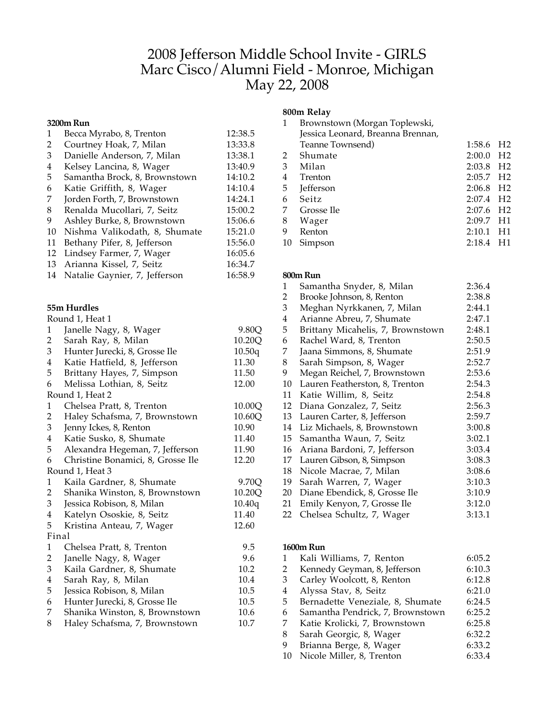# 2008 Jefferson Middle School Invite - GIRLS Marc Cisco/Alumni Field - Monroe, Michigan May 22, 2008

#### **3200m Run**

| $\mathbf{1}$                | Becca Myrabo, 8, Trenton          | 12:38.5 |
|-----------------------------|-----------------------------------|---------|
| $\overline{2}$              | Courtney Hoak, 7, Milan           | 13:33.8 |
| 3                           | Danielle Anderson, 7, Milan       | 13:38.1 |
| $\overline{\mathbf{4}}$     | Kelsey Lancina, 8, Wager          | 13:40.9 |
| 5                           | Samantha Brock, 8, Brownstown     | 14:10.2 |
| 6                           | Katie Griffith, 8, Wager          | 14:10.4 |
| 7                           | Jorden Forth, 7, Brownstown       | 14:24.1 |
| 8                           | Renalda Mucollari, 7, Seitz       | 15:00.2 |
| 9                           | Ashley Burke, 8, Brownstown       | 15:06.6 |
| 10                          | Nishma Valikodath, 8, Shumate     | 15:21.0 |
| 11                          | Bethany Pifer, 8, Jefferson       | 15:56.0 |
| 12                          | Lindsey Farmer, 7, Wager          | 16:05.6 |
| 13                          | Arianna Kissel, 7, Seitz          | 16:34.7 |
| 14                          | Natalie Gaynier, 7, Jefferson     | 16:58.9 |
|                             |                                   |         |
|                             | 55m Hurdles                       |         |
|                             | Round 1, Heat 1                   |         |
| 1                           | Janelle Nagy, 8, Wager            | 9.80Q   |
| $\overline{2}$              | Sarah Ray, 8, Milan               | 10.20Q  |
| 3                           | Hunter Jurecki, 8, Grosse Ile     | 10.50q  |
| $\overline{\mathbf{4}}$     | Katie Hatfield, 8, Jefferson      | 11.30   |
| 5                           | Brittany Hayes, 7, Simpson        | 11.50   |
| 6                           | Melissa Lothian, 8, Seitz         | 12.00   |
|                             | Round 1, Heat 2                   |         |
| 1                           | Chelsea Pratt, 8, Trenton         | 10.00Q  |
| $\overline{2}$              | Haley Schafsma, 7, Brownstown     | 10.60Q  |
| $\mathfrak 3$               | Jenny Ickes, 8, Renton            | 10.90   |
| $\overline{\mathbf{4}}$     | Katie Susko, 8, Shumate           | 11.40   |
| 5                           | Alexandra Hegeman, 7, Jefferson   | 11.90   |
| 6                           | Christine Bonamici, 8, Grosse Ile | 12.20   |
|                             | Round 1, Heat 3                   |         |
| 1                           | Kaila Gardner, 8, Shumate         | 9.70Q   |
| $\overline{2}$              | Shanika Winston, 8, Brownstown    | 10.20Q  |
| $\ensuremath{\mathfrak{Z}}$ | Jessica Robison, 8, Milan         | 10.40q  |
| $\overline{\mathbf{4}}$     | Katelyn Ososkie, 8, Seitz         | 11.40   |
| 5                           | Kristina Anteau, 7, Wager         | 12.60   |
| Final                       |                                   |         |
| $\mathbf{1}$                | Chelsea Pratt, 8, Trenton         | 9.5     |
| 2                           | Janelle Nagy, 8, Wager            | 9.6     |
| 3                           | Kaila Gardner, 8, Shumate         | 10.2    |
| 4                           | Sarah Ray, 8, Milan               | 10.4    |
| 5                           | Jessica Robison, 8, Milan         | 10.5    |
| 6                           | Hunter Jurecki, 8, Grosse Ile     | 10.5    |
| 7                           | Shanika Winston, 8, Brownstown    | 10.6    |
| 8                           | Haley Schafsma, 7, Brownstown     | 10.7    |

## **800m Relay**

| 1  | Brownstown (Morgan Toplewski,     |                         |                |
|----|-----------------------------------|-------------------------|----------------|
|    | Jessica Leonard, Breanna Brennan, |                         |                |
|    | Teanne Townsend)                  | 1:58.6                  | H <sub>2</sub> |
| 2  | Shumate                           | 2:00.0                  | - H2           |
| 3  | Milan                             | $2:03.8$ H <sub>2</sub> |                |
| 4  | Trenton                           | $2:05.7$ H <sub>2</sub> |                |
| 5  | <b>Jefferson</b>                  | $2:06.8$ H <sub>2</sub> |                |
| 6  | Seitz                             | $2:07.4$ H <sub>2</sub> |                |
| 7  | Grosse Ile                        | $2:07.6$ H <sub>2</sub> |                |
| 8  | Wager                             | $2:09.7$ H1             |                |
| 9  | Renton                            | 2:10.1                  | H1             |
| 10 | Simpson                           | 2:18.4                  | H1             |
|    |                                   |                         |                |

#### **800m Run**

| 1  | Samantha Snyder, 8, Milan         | 2:36.4 |
|----|-----------------------------------|--------|
| 2  | Brooke Johnson, 8, Renton         | 2:38.8 |
| 3  | Meghan Nyrkkanen, 7, Milan        | 2:44.1 |
| 4  | Arianne Abreu, 7, Shumate         | 2:47.1 |
| 5  | Brittany Micahelis, 7, Brownstown | 2:48.1 |
| 6  | Rachel Ward, 8, Trenton           | 2:50.5 |
| 7  | Jaana Simmons, 8, Shumate         | 2:51.9 |
| 8  | Sarah Simpson, 8, Wager           | 2:52.7 |
| 9  | Megan Reichel, 7, Brownstown      | 2:53.6 |
| 10 | Lauren Featherston, 8, Trenton    | 2:54.3 |
| 11 | Katie Willim, 8, Seitz            | 2:54.8 |
| 12 | Diana Gonzalez, 7, Seitz          | 2:56.3 |
| 13 | Lauren Carter, 8, Jefferson       | 2:59.7 |
| 14 | Liz Michaels, 8, Brownstown       | 3:00.8 |
| 15 | Samantha Waun, 7, Seitz           | 3:02.1 |
| 16 | Ariana Bardoni, 7, Jefferson      | 3:03.4 |
| 17 | Lauren Gibson, 8, Simpson         | 3:08.3 |
| 18 | Nicole Macrae, 7, Milan           | 3:08.6 |
| 19 | Sarah Warren, 7, Wager            | 3:10.3 |
| 20 | Diane Ebendick, 8, Grosse Ile     | 3:10.9 |
| 21 | Emily Kenyon, 7, Grosse Ile       | 3:12.0 |
| 22 | Chelsea Schultz, 7, Wager         | 3:13.1 |

#### **1600m Run**

| 1  | Kali Williams, 7, Renton         | 6:05.2 |
|----|----------------------------------|--------|
| 2  | Kennedy Geyman, 8, Jefferson     | 6:10.3 |
| 3  | Carley Woolcott, 8, Renton       | 6:12.8 |
| 4  | Alyssa Stav, 8, Seitz            | 6:21.0 |
| 5  | Bernadette Veneziale, 8, Shumate | 6:24.5 |
| 6  | Samantha Pendrick, 7, Brownstown | 6:25.2 |
| 7  | Katie Krolicki, 7, Brownstown    | 6:25.8 |
| 8  | Sarah Georgic, 8, Wager          | 6:32.2 |
| 9  | Brianna Berge, 8, Wager          | 6:33.2 |
| 10 | Nicole Miller, 8, Trenton        | 6:33.4 |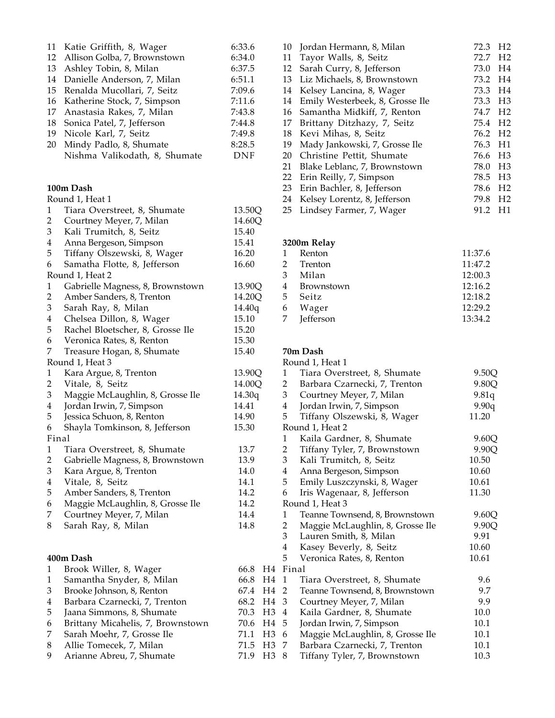| 11                      | Katie Griffith, 8, Wager          | 6:33.6                 |
|-------------------------|-----------------------------------|------------------------|
| 12                      | Allison Golba, 7, Brownstown      | 6:34.0                 |
| 13                      | Ashley Tobin, 8, Milan            | 6:37.5                 |
| 14                      | Danielle Anderson, 7, Milan       | 6:51.1                 |
| 15                      | Renalda Mucollari, 7, Seitz       | 7:09.6                 |
| 16                      | Katherine Stock, 7, Simpson       | 7:11.6                 |
| 17                      | Anastasia Rakes, 7, Milan         | 7:43.8                 |
| 18                      | Sonica Patel, 7, Jefferson        | 7:44.8                 |
| 19                      | Nicole Karl, 7, Seitz             | 7:49.8                 |
| 20                      | Mindy Padlo, 8, Shumate           | 8:28.5                 |
|                         | Nishma Valikodath, 8, Shumate     | <b>DNF</b>             |
|                         | 100m Dash                         |                        |
|                         | Round 1, Heat 1                   |                        |
| $\mathbf{1}$            | Tiara Overstreet, 8, Shumate      | 13.50Q                 |
| $\overline{2}$          | Courtney Meyer, 7, Milan          | 14.60Q                 |
| 3                       | Kali Trumitch, 8, Seitz           | 15.40                  |
| $\overline{\mathbf{4}}$ | Anna Bergeson, Simpson            | 15.41                  |
| 5                       | Tiffany Olszewski, 8, Wager       | 16.20                  |
| 6                       | Samatha Flotte, 8, Jefferson      | 16.60                  |
|                         | Round 1, Heat 2                   |                        |
| $\mathbf{1}$            | Gabrielle Magness, 8, Brownstown  | 13.90Q                 |
| 2                       | Amber Sanders, 8, Trenton         | 14.20Q                 |
| 3                       | Sarah Ray, 8, Milan               | 14.40q                 |
| $\overline{\mathbf{4}}$ | Chelsea Dillon, 8, Wager          | 15.10                  |
| 5                       | Rachel Bloetscher, 8, Grosse Ile  | 15.20                  |
| 6                       |                                   | 15.30                  |
| 7                       | Veronica Rates, 8, Renton         |                        |
|                         | Treasure Hogan, 8, Shumate        | 15.40                  |
|                         | Round 1, Heat 3                   |                        |
| $\mathbf{1}$            | Kara Argue, 8, Trenton            | 13.90Q                 |
| 2                       | Vitale, 8, Seitz                  | 14.00Q                 |
| 3                       | Maggie McLaughlin, 8, Grosse Ile  | 14.30q                 |
| $\overline{4}$          | Jordan Irwin, 7, Simpson          | 14.41                  |
| 5                       | Jessica Schuon, 8, Renton         | 14.90                  |
| 6                       | Shayla Tomkinson, 8, Jefferson    | 15.30                  |
| Final                   |                                   |                        |
| $\mathbf{1}$            | Tiara Overstreet, 8, Shumate      | 13.7                   |
| 2                       | Gabrielle Magness, 8, Brownstown  | 13.9                   |
| 3                       | Kara Argue, 8, Trenton            | 14.0                   |
| $\overline{\mathbf{4}}$ | Vitale, 8, Seitz                  | 14.1                   |
| 5                       | Amber Sanders, 8, Trenton         | 14.2                   |
| 6                       | Maggie McLaughlin, 8, Grosse Ile  | 14.2                   |
| 7                       | Courtney Meyer, 7, Milan          | 14.4                   |
| 8                       | Sarah Ray, 8, Milan               | 14.8                   |
|                         |                                   |                        |
|                         | 400m Dash                         |                        |
| 1                       | Brook Willer, 8, Wager            | 66.8<br>H4             |
| $\mathbf{1}$            | Samantha Snyder, 8, Milan         | 66.8<br>H4             |
| 3                       | Brooke Johnson, 8, Renton         | 67.4<br>H4             |
| $\overline{\mathbf{4}}$ | Barbara Czarnecki, 7, Trenton     | 68.2<br>H4             |
| 5                       | Jaana Simmons, 8, Shumate         | 70.3<br>H <sub>3</sub> |
| 6                       | Brittany Micahelis, 7, Brownstown | 70.6<br>H <sub>4</sub> |
| 7                       | Sarah Moehr, 7, Grosse Ile        | 71.1<br>H <sub>3</sub> |
| 8                       | Allie Tomecek, 7, Milan           | 71.5<br>H <sub>3</sub> |
| 9                       | Arianne Abreu, 7, Shumate         | 71.9<br>H <sub>3</sub> |

| 10 | Jordan Hermann, 8, Milan        | 72.3                | H <sub>2</sub> |
|----|---------------------------------|---------------------|----------------|
| 11 | Tayor Walls, 8, Seitz           | 72.7 H <sub>2</sub> |                |
| 12 | Sarah Curry, 8, Jefferson       | 73.0 H4             |                |
| 13 | Liz Michaels, 8, Brownstown     | 73.2 H4             |                |
| 14 | Kelsey Lancina, 8, Wager        | 73.3 H4             |                |
| 14 | Emily Westerbeek, 8, Grosse Ile | 73.3                | H <sub>3</sub> |
| 16 | Samantha Midkiff, 7, Renton     | 74.7                | H <sub>2</sub> |
| 17 | Brittany Ditzhazy, 7, Seitz     | 75.4 H <sub>2</sub> |                |
| 18 | Kevi Mihas, 8, Seitz            | 76.2 H <sub>2</sub> |                |
| 19 | Mady Jankowski, 7, Grosse Ile   | 76.3                | H1             |
| 20 | Christine Pettit, Shumate       | 76.6 H3             |                |
| 21 | Blake Leblanc, 7, Brownstown    | 78.0                | H <sub>3</sub> |
| 22 | Erin Reilly, 7, Simpson         | 78.5                | H <sub>3</sub> |
| 23 | Erin Bachler, 8, Jefferson      | 78.6 H <sub>2</sub> |                |
| 24 | Kelsey Lorentz, 8, Jefferson    | 79.8 H <sub>2</sub> |                |
| 25 | Lindsey Farmer, 7, Wager        | 91.2                | H1             |

# **3200m Relay**

| 1 | Renton       | 11:37.6 |
|---|--------------|---------|
|   | 2 Trenton    | 11:47.2 |
|   | 3 Milan      | 12:00.3 |
|   | 4 Brownstown | 12:16.2 |
|   | 5 Seitz      | 12:18.2 |
|   | 6 Wager      | 12:29.2 |
|   | 7 Jefferson  | 13:34.2 |

### **70m Dash**

|     | Round 1, Heat 1 |                                  |       |  |
|-----|-----------------|----------------------------------|-------|--|
|     | 1               | Tiara Overstreet, 8, Shumate     | 9.50Q |  |
|     | 2               | 9.80Q                            |       |  |
|     | 3 <sup>7</sup>  | Courtney Meyer, 7, Milan         | 9.81q |  |
|     | 4               | Jordan Irwin, 7, Simpson         | 9.90q |  |
|     | 5               | Tiffany Olszewski, 8, Wager      | 11.20 |  |
|     |                 | Round 1, Heat 2                  |       |  |
|     | 1               | Kaila Gardner, 8, Shumate        | 9.60Q |  |
|     | $\mathbf{2}$    | Tiffany Tyler, 7, Brownstown     | 9.90Q |  |
|     | 3 <sup>7</sup>  | Kali Trumitch, 8, Seitz          | 10.50 |  |
|     | 4               | Anna Bergeson, Simpson           | 10.60 |  |
|     | 5               | Emily Luszczynski, 8, Wager      | 10.61 |  |
|     | 6               | Iris Wagenaar, 8, Jefferson      | 11.30 |  |
|     | Round 1, Heat 3 |                                  |       |  |
|     | 1               | Teanne Townsend, 8, Brownstown   | 9.60Q |  |
|     | 2               | Maggie McLaughlin, 8, Grosse Ile | 9.90Q |  |
|     | 3 <sup>1</sup>  | Lauren Smith, 8, Milan           | 9.91  |  |
|     | 4               | Kasey Beverly, 8, Seitz          | 10.60 |  |
|     | 5               | Veronica Rates, 8, Renton        | 10.61 |  |
|     | 44 Final        |                                  |       |  |
| -14 | 1               | Tiara Overstreet, 8, Shumate     | 9.6   |  |
| -14 | 2               | Teanne Townsend, 8, Brownstown   | 9.7   |  |
| -14 | 3               | Courtney Meyer, 7, Milan         | 9.9   |  |
| H3  | 4               | Kaila Gardner, 8, Shumate        | 10.0  |  |
| -14 | 5               | Jordan Irwin, 7, Simpson         | 10.1  |  |
| H3  | 6               | Maggie McLaughlin, 8, Grosse Ile | 10.1  |  |
| H3  | 7               | Barbara Czarnecki, 7, Trenton    | 10.1  |  |
| H3  | 8               | Tiffany Tyler, 7, Brownstown     | 10.3  |  |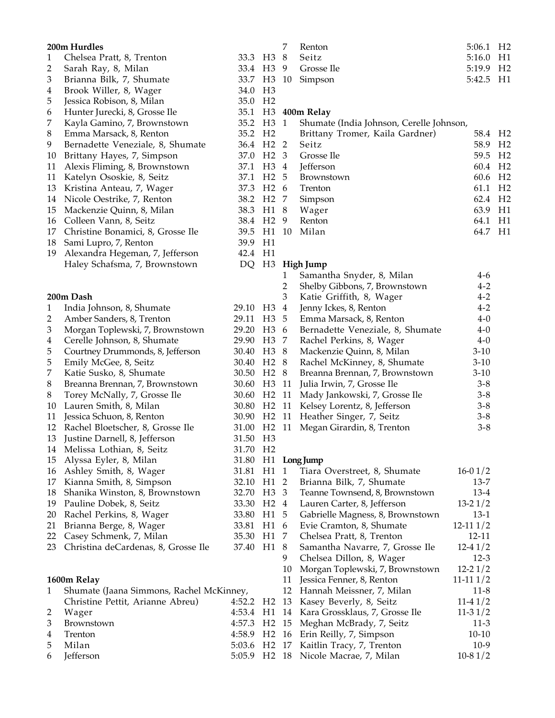|              | 200m Hurdles                             |                          |                   | 7              | Renton                                      | 5:06.1 H <sub>2</sub> |    |
|--------------|------------------------------------------|--------------------------|-------------------|----------------|---------------------------------------------|-----------------------|----|
| $\mathbf{1}$ | Chelsea Pratt, 8, Trenton                | 33.3 H3 8                |                   |                | Seitz                                       | 5:16.0 H1             |    |
| 2            | Sarah Ray, 8, Milan                      | 33.4 H3                  |                   | 9              | Grosse Ile                                  | 5:19.9                | H2 |
| 3            | Brianna Bilk, 7, Shumate                 | 33.7 H3                  |                   | 10             | Simpson                                     | 5:42.5                | H1 |
| 4            | Brook Willer, 8, Wager                   | 34.0                     | H <sub>3</sub>    |                |                                             |                       |    |
| 5            | Jessica Robison, 8, Milan                | 35.0 H <sub>2</sub>      |                   |                |                                             |                       |    |
| 6            | Hunter Jurecki, 8, Grosse Ile            |                          |                   |                | 35.1 H3 400m Relay                          |                       |    |
| 7            | Kayla Gamino, 7, Brownstown              | 35.2 H3 1                |                   |                | Shumate (India Johnson, Cerelle Johnson,    |                       |    |
| 8            | Emma Marsack, 8, Renton                  | 35.2 H <sub>2</sub>      |                   |                | Brittany Tromer, Kaila Gardner)             | 58.4 H <sub>2</sub>   |    |
| 9            | Bernadette Veneziale, 8, Shumate         | 36.4 H <sub>2</sub> 2    |                   |                | Seitz                                       | 58.9 H <sub>2</sub>   |    |
| 10           | Brittany Hayes, 7, Simpson               | 37.0 H <sub>2</sub> 3    |                   |                | Grosse Ile                                  | 59.5 H2               |    |
| 11           | Alexis Fliming, 8, Brownstown            | 37.1                     | H <sub>3</sub> 4  |                | Jefferson                                   | 60.4 H <sub>2</sub>   |    |
| 11           | Katelyn Ososkie, 8, Seitz                | 37.1                     | H <sub>2</sub> 5  |                | Brownstown                                  | 60.6                  | H2 |
| 13           | Kristina Anteau, 7, Wager                | 37.3                     | H <sub>2</sub> 6  |                | Trenton                                     | 61.1                  | H2 |
| 14           | Nicole Oestrike, 7, Renton               | 38.2                     | H <sub>2</sub> 7  |                | Simpson                                     | 62.4 H <sub>2</sub>   |    |
| 15           | Mackenzie Quinn, 8, Milan                | 38.3                     | H1 8              |                | Wager                                       | 63.9                  | H1 |
| 16           | Colleen Vann, 8, Seitz                   | 38.4 H <sub>2</sub> 9    |                   |                | Renton                                      | 64.1                  | H1 |
| 17           | Christine Bonamici, 8, Grosse Ile        | 39.5 H1                  |                   | 10             | Milan                                       | 64.7                  | H1 |
| 18           | Sami Lupro, 7, Renton                    | 39.9                     | H1                |                |                                             |                       |    |
| 19           | Alexandra Hegeman, 7, Jefferson          | 42.4 H1                  |                   |                |                                             |                       |    |
|              | Haley Schafsma, 7, Brownstown            |                          |                   |                | DQ H3 High Jump                             |                       |    |
|              |                                          |                          |                   | 1              | Samantha Snyder, 8, Milan                   | $4-6$                 |    |
|              |                                          |                          |                   | 2              | Shelby Gibbons, 7, Brownstown               | $4 - 2$               |    |
|              | 200m Dash                                |                          |                   | 3              | Katie Griffith, 8, Wager                    | $4 - 2$               |    |
| $\mathbf{1}$ | India Johnson, 8, Shumate                | 29.10 H <sub>3</sub>     |                   | $\overline{4}$ | Jenny Ickes, 8, Renton                      | $4 - 2$               |    |
| 2            | Amber Sanders, 8, Trenton                | 29.11                    | H3                | 5              | Emma Marsack, 8, Renton                     | $4 - 0$               |    |
| 3            | Morgan Toplewski, 7, Brownstown          | 29.20 H3 6               |                   |                | Bernadette Veneziale, 8, Shumate            | $4 - 0$               |    |
| 4            | Cerelle Johnson, 8, Shumate              | 29.90                    | H <sub>3</sub> 7  |                | Rachel Perkins, 8, Wager                    | $4 - 0$               |    |
| 5            | Courtney Drummonds, 8, Jefferson         | 30.40                    | H <sub>3</sub> 8  |                | Mackenzie Quinn, 8, Milan                   | $3-10$                |    |
| 5            | Emily McGee, 8, Seitz                    | 30.40                    | H <sub>2</sub> 8  |                | Rachel McKinney, 8, Shumate                 | $3-10$                |    |
| 7            | Katie Susko, 8, Shumate                  | 30.50                    | H <sub>2</sub> 8  |                | Breanna Brennan, 7, Brownstown              | $3-10$                |    |
| 8            | Breanna Brennan, 7, Brownstown           | 30.60 H3 11              |                   |                | Julia Irwin, 7, Grosse Ile                  | $3 - 8$               |    |
| 8            | Torey McNally, 7, Grosse Ile             | 30.60 H <sub>2</sub> 11  |                   |                | Mady Jankowski, 7, Grosse Ile               | $3 - 8$               |    |
| 10           | Lauren Smith, 8, Milan                   | 30.80 H <sub>2</sub> 11  |                   |                | Kelsey Lorentz, 8, Jefferson                | $3 - 8$               |    |
| 11           | Jessica Schuon, 8, Renton                | 30.90 H <sub>2</sub> 11  |                   |                | Heather Singer, 7, Seitz                    | $3 - 8$               |    |
|              | 12 Rachel Bloetscher, 8, Grosse Ile      | 31.00 H <sub>2</sub> 11  |                   |                | Megan Girardin, 8, Trenton                  | $3 - 8$               |    |
|              | 13 Justine Darnell, 8, Jefferson         | 31.50 H3                 |                   |                |                                             |                       |    |
|              | 14 Melissa Lothian, 8, Seitz             | 31.70 H2                 |                   |                |                                             |                       |    |
| 15           | Alyssa Eyler, 8, Milan                   |                          |                   |                | 31.80 H1 Long Jump                          |                       |    |
| 16           | Ashley Smith, 8, Wager                   | 31.81                    | H1                | $\mathbf{1}$   | Tiara Overstreet, 8, Shumate                | $16-01/2$             |    |
| 17           | Kianna Smith, 8, Simpson                 | 32.10                    | H1                | 2              | Brianna Bilk, 7, Shumate                    | $13 - 7$              |    |
| 18           | Shanika Winston, 8, Brownstown           | 32.70 H3                 |                   | 3              | Teanne Townsend, 8, Brownstown              | $13-4$                |    |
| 19           | Pauline Dobek, 8, Seitz                  | 33.30                    | H <sub>2</sub> 4  |                | Lauren Carter, 8, Jefferson                 | $13 - 21/2$           |    |
| 20           | Rachel Perkins, 8, Wager                 | 33.80                    | H1                | 5              | Gabrielle Magness, 8, Brownstown            | $13-1$                |    |
| 21           | Brianna Berge, 8, Wager                  | 33.81                    | H1                | - 6            | Evie Cramton, 8, Shumate                    | $12 - 111/2$          |    |
| 22           | Casey Schmenk, 7, Milan                  | 35.30                    | H1                | -7             | Chelsea Pratt, 8, Trenton                   | $12 - 11$             |    |
| 23           | Christina deCardenas, 8, Grosse Ile      | 37.40                    | H1 8              |                | Samantha Navarre, 7, Grosse Ile             | $12-41/2$             |    |
|              |                                          |                          |                   | 9              | Chelsea Dillon, 8, Wager                    | $12-3$                |    |
|              |                                          |                          |                   | 10             | Morgan Toplewski, 7, Brownstown             | $12 - 21/2$           |    |
|              | 1600m Relay                              |                          |                   | 11             | Jessica Fenner, 8, Renton                   | $11-111/2$            |    |
| 1            | Shumate (Jaana Simmons, Rachel McKinney, |                          |                   | 12             | Hannah Meissner, 7, Milan                   | $11-8$                |    |
|              | Christine Pettit, Arianne Abreu)         | 4:52.2                   | H <sub>2</sub> 13 |                | Kasey Beverly, 8, Seitz                     | $11-41/2$             |    |
| 2            | Wager                                    |                          |                   |                | 4:53.4 H1 14 Kara Grossklaus, 7, Grosse Ile | $11-31/2$             |    |
| 3            | Brownstown                               | 4:57.3 H2 15             |                   |                | Meghan McBrady, 7, Seitz                    | $11-3$                |    |
| 4            | Trenton<br>Milan                         | 4:58.9 H <sub>2</sub> 16 |                   |                | Erin Reilly, 7, Simpson                     | $10-10$<br>$10-9$     |    |
| 5            |                                          | 5:03.6 H2 17             |                   |                | Kaitlin Tracy, 7, Trenton                   |                       |    |
| 6            | Jefferson                                |                          |                   |                | 5:05.9 H2 18 Nicole Macrae, 7, Milan        | $10-81/2$             |    |